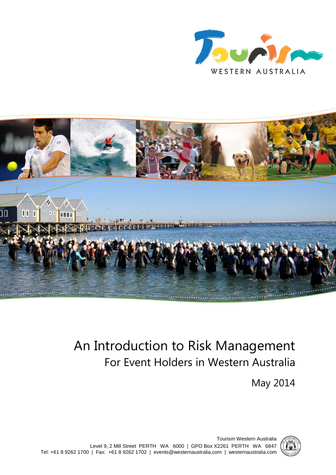



# An Introduction to Risk Management For Event Holders in Western Australia

May 2014



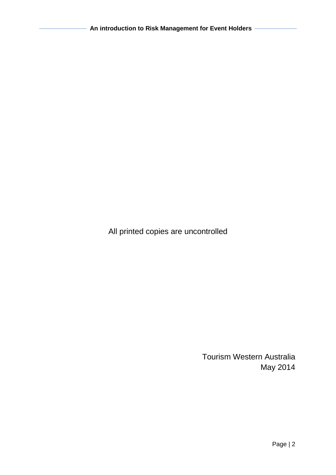All printed copies are uncontrolled

Tourism Western Australia May 2014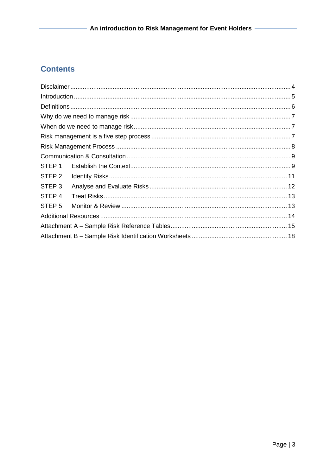## **Contents**

| STEP <sub>1</sub> |  |  |  |  |  |
|-------------------|--|--|--|--|--|
| STEP <sub>2</sub> |  |  |  |  |  |
| STEP <sub>3</sub> |  |  |  |  |  |
| STEP <sub>4</sub> |  |  |  |  |  |
| STEP <sub>5</sub> |  |  |  |  |  |
|                   |  |  |  |  |  |
|                   |  |  |  |  |  |
|                   |  |  |  |  |  |
|                   |  |  |  |  |  |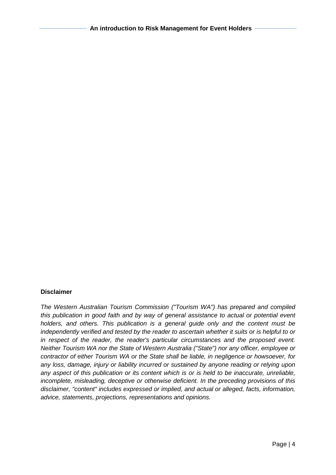#### <span id="page-3-0"></span>**Disclaimer**

*The Western Australian Tourism Commission ("Tourism WA") has prepared and compiled this publication in good faith and by way of general assistance to actual or potential event holders, and others. This publication is a general guide only and the content must be independently verified and tested by the reader to ascertain whether it suits or is helpful to or in respect of the reader, the reader's particular circumstances and the proposed event. Neither Tourism WA nor the State of Western Australia ("State") nor any officer, employee or contractor of either Tourism WA or the State shall be liable, in negligence or howsoever, for any loss, damage, injury or liability incurred or sustained by anyone reading or relying upon any aspect of this publication or its content which is or is held to be inaccurate, unreliable, incomplete, misleading, deceptive or otherwise deficient. In the preceding provisions of this disclaimer, "content" includes expressed or implied, and actual or alleged, facts, information, advice, statements, projections, representations and opinions.*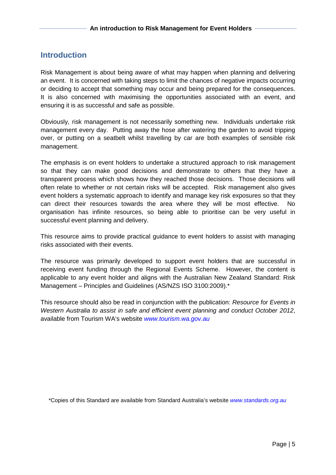### <span id="page-4-0"></span>**Introduction**

Risk Management is about being aware of what may happen when planning and delivering an event. It is concerned with taking steps to limit the chances of negative impacts occurring or deciding to accept that something may occur and being prepared for the consequences. It is also concerned with maximising the opportunities associated with an event, and ensuring it is as successful and safe as possible.

Obviously, risk management is not necessarily something new. Individuals undertake risk management every day. Putting away the hose after watering the garden to avoid tripping over, or putting on a seatbelt whilst travelling by car are both examples of sensible risk management.

The emphasis is on event holders to undertake a structured approach to risk management so that they can make good decisions and demonstrate to others that they have a transparent process which shows how they reached those decisions. Those decisions will often relate to whether or not certain risks will be accepted. Risk management also gives event holders a systematic approach to identify and manage key risk exposures so that they can direct their resources towards the area where they will be most effective. No organisation has infinite resources, so being able to prioritise can be very useful in successful event planning and delivery.

This resource aims to provide practical guidance to event holders to assist with managing risks associated with their events.

The resource was primarily developed to support event holders that are successful in receiving event funding through the Regional Events Scheme. However, the content is applicable to any event holder and aligns with the Australian New Zealand Standard: Risk Management – Principles and Guidelines (AS/NZS ISO 3100:2009).\*

This resource should also be read in conjunction with the publication: *Resource for Events in Western Australia to assist in safe and efficient event planning and conduct October 2012*, available from Tourism WA's website *[www.tourism.wa.gov.au](http://www.tourism.wa.gov.au/)*

\*Copies of this Standard are available from Standard Australia's website *[www.standards.org.au](http://www.standards.org.au/)*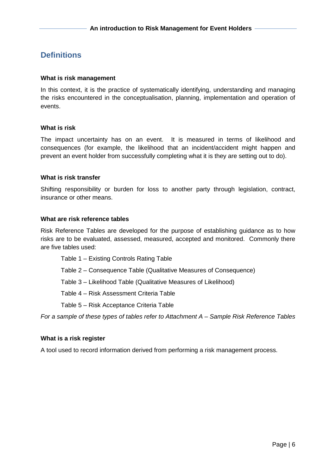### <span id="page-5-0"></span>**Definitions**

#### **What is risk management**

In this context, it is the practice of systematically identifying, understanding and managing the risks encountered in the conceptualisation, planning, implementation and operation of events.

#### **What is risk**

The impact uncertainty has on an event. It is measured in terms of likelihood and consequences (for example, the likelihood that an incident/accident might happen and prevent an event holder from successfully completing what it is they are setting out to do).

#### **What is risk transfer**

Shifting responsibility or burden for loss to another party through legislation, contract, insurance or other means.

#### **What are risk reference tables**

Risk Reference Tables are developed for the purpose of establishing guidance as to how risks are to be evaluated, assessed, measured, accepted and monitored. Commonly there are five tables used:

- Table 1 Existing Controls Rating Table
- Table 2 Consequence Table (Qualitative Measures of Consequence)
- Table 3 Likelihood Table (Qualitative Measures of Likelihood)

Table 4 – Risk Assessment Criteria Table

Table 5 – Risk Acceptance Criteria Table

*For a sample of these types of tables refer to Attachment A – Sample Risk Reference Tables*

#### **What is a risk register**

A tool used to record information derived from performing a risk management process.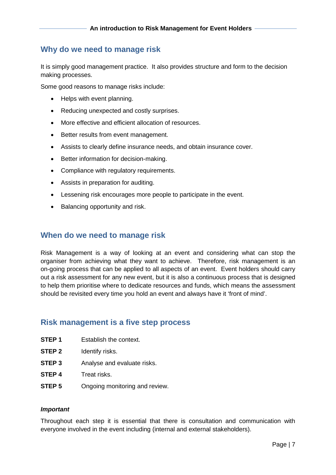### <span id="page-6-0"></span>**Why do we need to manage risk**

It is simply good management practice. It also provides structure and form to the decision making processes.

Some good reasons to manage risks include:

- Helps with event planning.
- Reducing unexpected and costly surprises.
- More effective and efficient allocation of resources.
- Better results from event management.
- Assists to clearly define insurance needs, and obtain insurance cover.
- Better information for decision-making.
- Compliance with regulatory requirements.
- Assists in preparation for auditing.
- Lessening risk encourages more people to participate in the event.
- Balancing opportunity and risk.

### <span id="page-6-1"></span>**When do we need to manage risk**

Risk Management is a way of looking at an event and considering what can stop the organiser from achieving what they want to achieve. Therefore, risk management is an on-going process that can be applied to all aspects of an event. Event holders should carry out a risk assessment for any new event, but it is also a continuous process that is designed to help them prioritise where to dedicate resources and funds, which means the assessment should be revisited every time you hold an event and always have it 'front of mind'.

### <span id="page-6-2"></span>**Risk management is a five step process**

- **STEP 1** Establish the context
- **STEP 2** Identify risks.
- **STEP 3** Analyse and evaluate risks.
- **STEP 4** Treat risks.
- **STEP 5** Ongoing monitoring and review.

#### *Important*

Throughout each step it is essential that there is consultation and communication with everyone involved in the event including (internal and external stakeholders).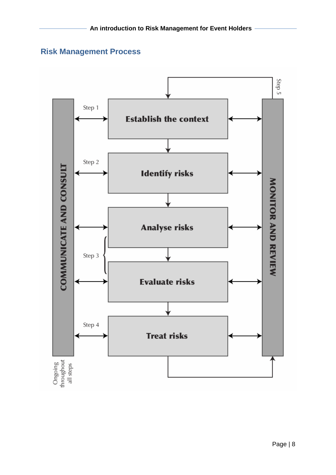### <span id="page-7-0"></span>**Risk Management Process**

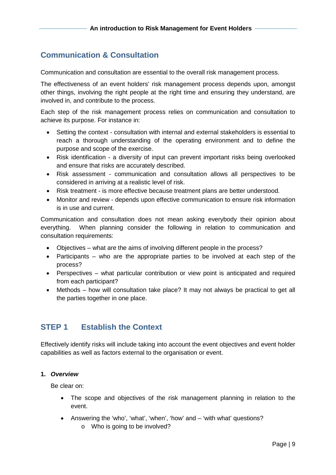### <span id="page-8-0"></span>**Communication & Consultation**

Communication and consultation are essential to the overall risk management process.

The effectiveness of an event holders' risk management process depends upon, amongst other things, involving the right people at the right time and ensuring they understand, are involved in, and contribute to the process.

Each step of the risk management process relies on communication and consultation to achieve its purpose. For instance in:

- Setting the context consultation with internal and external stakeholders is essential to reach a thorough understanding of the operating environment and to define the purpose and scope of the exercise.
- Risk identification a diversity of input can prevent important risks being overlooked and ensure that risks are accurately described.
- Risk assessment communication and consultation allows all perspectives to be considered in arriving at a realistic level of risk.
- Risk treatment is more effective because treatment plans are better understood.
- Monitor and review depends upon effective communication to ensure risk information is in use and current.

Communication and consultation does not mean asking everybody their opinion about everything. When planning consider the following in relation to communication and consultation requirements:

- Objectives what are the aims of involving different people in the process?
- Participants who are the appropriate parties to be involved at each step of the process?
- Perspectives what particular contribution or view point is anticipated and required from each participant?
- Methods how will consultation take place? It may not always be practical to get all the parties together in one place.

### <span id="page-8-1"></span>**STEP 1 Establish the Context**

Effectively identify risks will include taking into account the event objectives and event holder capabilities as well as factors external to the organisation or event.

### **1.** *Overview*

Be clear on:

- The scope and objectives of the risk management planning in relation to the event.
- Answering the 'who', 'what', 'when', 'how' and 'with what' questions?
	- o Who is going to be involved?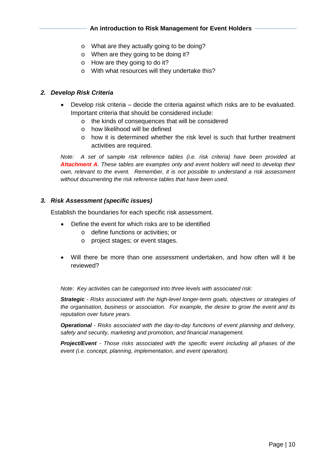### **An introduction to Risk Management for Event Holders**

- o What are they actually going to be doing?
- o When are they going to be doing it?
- o How are they going to do it?
- o With what resources will they undertake this?

### *2. Develop Risk Criteria*

- Develop risk criteria decide the criteria against which risks are to be evaluated. Important criteria that should be considered include:
	- o the kinds of consequences that will be considered
	- o how likelihood will be defined
	- $\circ$  how it is determined whether the risk level is such that further treatment activities are required.

*Note: A set of sample risk reference tables (i.e. risk criteria) have been provided at Attachment A. These tables are examples only and event holders will need to develop their own, relevant to the event. Remember, it is not possible to understand a risk assessment without documenting the risk reference tables that have been used.*

#### *3. Risk Assessment (specific issues)*

Establish the boundaries for each specific risk assessment.

- Define the event for which risks are to be identified
	- o define functions or activities; or
	- o project stages; or event stages.
- Will there be more than one assessment undertaken, and how often will it be reviewed?

*Note: Key activities can be categorised into three levels with associated risk:*

*Strategic - Risks associated with the high-level longer-term goals, objectives or strategies of the organisation, business or association. For example, the desire to grow the event and its reputation over future years.*

*Operational - Risks associated with the day-to-day functions of event planning and delivery, safety and security, marketing and promotion, and financial management.*

*Project/Event - Those risks associated with the specific event including all phases of the event (i.e. concept, planning, implementation, and event operation).*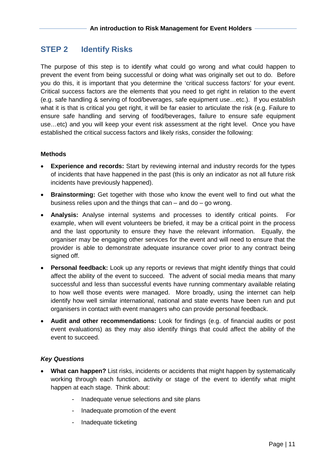### <span id="page-10-0"></span>**STEP 2 Identify Risks**

The purpose of this step is to identify what could go wrong and what could happen to prevent the event from being successful or doing what was originally set out to do. Before you do this, it is important that you determine the 'critical success factors' for your event. Critical success factors are the elements that you need to get right in relation to the event (e.g. safe handling & serving of food/beverages, safe equipment use…etc.). If you establish what it is that is critical you get right, it will be far easier to articulate the risk (e.g. Failure to ensure safe handling and serving of food/beverages, failure to ensure safe equipment use…etc) and you will keep your event risk assessment at the right level. Once you have established the critical success factors and likely risks, consider the following:

#### **Methods**

- **Experience and records:** Start by reviewing internal and industry records for the types of incidents that have happened in the past (this is only an indicator as not all future risk incidents have previously happened).
- **Brainstorming:** Get together with those who know the event well to find out what the business relies upon and the things that  $can - and do - go wrong$ .
- **Analysis:** Analyse internal systems and processes to identify critical points. For example, when will event volunteers be briefed, it may be a critical point in the process and the last opportunity to ensure they have the relevant information. Equally, the organiser may be engaging other services for the event and will need to ensure that the provider is able to demonstrate adequate insurance cover prior to any contract being signed off.
- **Personal feedback:** Look up any reports or reviews that might identify things that could affect the ability of the event to succeed. The advent of social media means that many successful and less than successful events have running commentary available relating to how well those events were managed. More broadly, using the internet can help identify how well similar international, national and state events have been run and put organisers in contact with event managers who can provide personal feedback.
- **Audit and other recommendations:** Look for findings (e.g. of financial audits or post event evaluations) as they may also identify things that could affect the ability of the event to succeed.

#### *Key Questions*

- **What can happen?** List risks, incidents or accidents that might happen by systematically working through each function, activity or stage of the event to identify what might happen at each stage. Think about:
	- Inadequate venue selections and site plans
	- Inadequate promotion of the event
	- Inadequate ticketing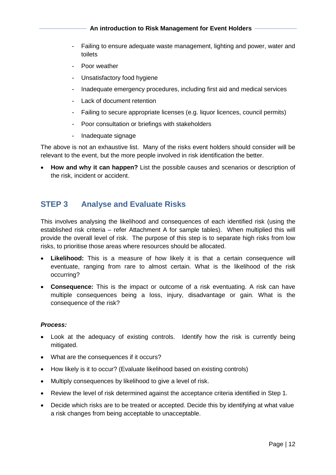**An introduction to Risk Management for Event Holders** 

- Failing to ensure adequate waste management, lighting and power, water and toilets
- Poor weather
- Unsatisfactory food hygiene
- Inadequate emergency procedures, including first aid and medical services
- Lack of document retention
- Failing to secure appropriate licenses (e.g. liquor licences, council permits)
- Poor consultation or briefings with stakeholders
- Inadequate signage

The above is not an exhaustive list. Many of the risks event holders should consider will be relevant to the event, but the more people involved in risk identification the better.

• **How and why it can happen?** List the possible causes and scenarios or description of the risk, incident or accident.

### <span id="page-11-0"></span>**STEP 3 Analyse and Evaluate Risks**

This involves analysing the likelihood and consequences of each identified risk (using the established risk criteria – refer Attachment A for sample tables). When multiplied this will provide the overall level of risk. The purpose of this step is to separate high risks from low risks, to prioritise those areas where resources should be allocated.

- **Likelihood:** This is a measure of how likely it is that a certain consequence will eventuate, ranging from rare to almost certain. What is the likelihood of the risk occurring?
- **Consequence:** This is the impact or outcome of a risk eventuating. A risk can have multiple consequences being a loss, injury, disadvantage or gain. What is the consequence of the risk?

#### *Process:*

- Look at the adequacy of existing controls. Identify how the risk is currently being mitigated.
- What are the consequences if it occurs?
- How likely is it to occur? (Evaluate likelihood based on existing controls)
- Multiply consequences by likelihood to give a level of risk.
- Review the level of risk determined against the acceptance criteria identified in Step 1.
- Decide which risks are to be treated or accepted. Decide this by identifying at what value a risk changes from being acceptable to unacceptable.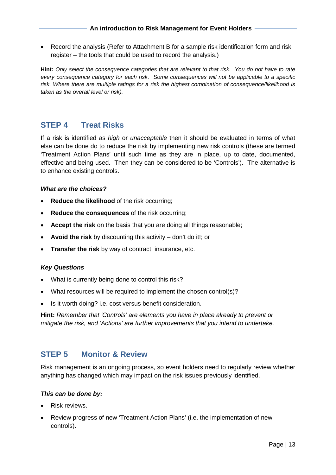• Record the analysis (Refer to Attachment B for a sample risk identification form and risk register – the tools that could be used to record the analysis.)

**Hint:** *Only select the consequence categories that are relevant to that risk. You do not have to rate every consequence category for each risk. Some consequences will not be applicable to a specific risk. Where there are multiple ratings for a risk the highest combination of consequence/likelihood is taken as the overall level or risk).*

### <span id="page-12-0"></span>**STEP 4 Treat Risks**

If a risk is identified as *high* or *unacceptable* then it should be evaluated in terms of what else can be done do to reduce the risk by implementing new risk controls (these are termed 'Treatment Action Plans' until such time as they are in place, up to date, documented, effective and being used. Then they can be considered to be 'Controls'). The alternative is to enhance existing controls.

#### *What are the choices?*

- **Reduce the likelihood** of the risk occurring:
- **Reduce the consequences** of the risk occurring;
- **Accept the risk** on the basis that you are doing all things reasonable;
- **Avoid the risk** by discounting this activity don't do it!; or
- **Transfer the risk** by way of contract, insurance, etc.

#### *Key Questions*

- What is currently being done to control this risk?
- What resources will be required to implement the chosen control(s)?
- Is it worth doing? i.e. cost versus benefit consideration.

**Hint:** *Remember that 'Controls' are elements you have in place already to prevent or mitigate the risk, and 'Actions' are further improvements that you intend to undertake.* 

### <span id="page-12-1"></span>**STEP 5 Monitor & Review**

Risk management is an ongoing process, so event holders need to regularly review whether anything has changed which may impact on the risk issues previously identified.

#### *This can be done by:*

- Risk reviews.
- Review progress of new 'Treatment Action Plans' (i.e. the implementation of new controls).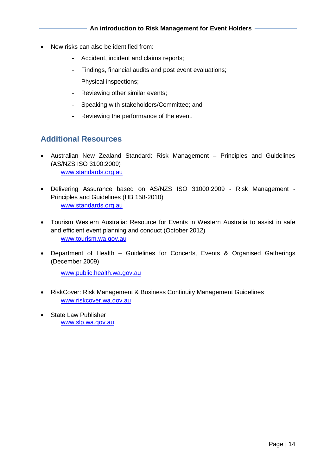- New risks can also be identified from:
	- Accident, incident and claims reports;
	- Findings, financial audits and post event evaluations;
	- Physical inspections;
	- Reviewing other similar events;
	- Speaking with stakeholders/Committee; and
	- Reviewing the performance of the event.

### <span id="page-13-0"></span>**Additional Resources**

- Australian New Zealand Standard: Risk Management Principles and Guidelines (AS/NZS ISO 3100:2009) [www.standards.org.au](http://www.standards.org.au/)
- Delivering Assurance based on AS/NZS ISO 31000:2009 Risk Management Principles and Guidelines (HB 158-2010) [www.standards.org.au](http://www.standards.org.au/)
- Tourism Western Australia: Resource for Events in Western Australia to assist in safe and efficient event planning and conduct (October 2012) [www.tourism.wa.gov.au](http://www.tourism.wa.gov.au/)
- Department of Health Guidelines for Concerts, Events & Organised Gatherings (December 2009)

[www.public.health.wa.gov.au](http://www.public.health.wa.gov.au/)

- RiskCover: Risk Management & Business Continuity Management Guidelines [www.riskcover.wa.gov.au](http://www.riskcover.wa.gov.au/)
- State Law Publisher [www.slp.wa.gov.au](http://www.slp.wa.gov.au/)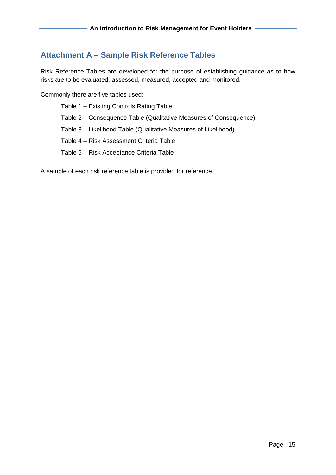### <span id="page-14-0"></span>**Attachment A – Sample Risk Reference Tables**

Risk Reference Tables are developed for the purpose of establishing guidance as to how risks are to be evaluated, assessed, measured, accepted and monitored.

Commonly there are five tables used:

Table 1 – Existing Controls Rating Table Table 2 – Consequence Table (Qualitative Measures of Consequence) Table 3 – Likelihood Table (Qualitative Measures of Likelihood) Table 4 – Risk Assessment Criteria Table Table 5 – Risk Acceptance Criteria Table

A sample of each risk reference table is provided for reference.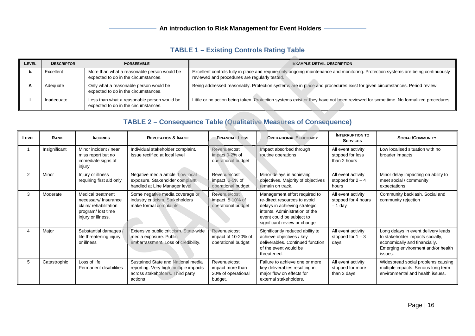### **TABLE 1 – Existing Controls Rating Table**

| LEVEL | <b>DESCRIPTOR</b> | <b>FORSEEABLE</b>                                                                   | <b>EXAMPLE DETAIL DESCRIPTION</b>                                                                                                                                                 |
|-------|-------------------|-------------------------------------------------------------------------------------|-----------------------------------------------------------------------------------------------------------------------------------------------------------------------------------|
|       | Excellent         | More than what a reasonable person would be<br>expected to do in the circumstances. | Excellent controls fully in place and require only ongoing maintenance and monitoring. Protection systems are being continuously<br>reviewed and procedures are regularly tested. |
|       | Adequate          | Only what a reasonable person would be<br>expected to do in the circumstances.      | Being addressed reasonably. Protection systems are in place and procedures exist for given circumstances. Period review.                                                          |
|       | Inadequate        | Less than what a reasonable person would be<br>expected to do in the circumstances. | Little or no action being taken. Protection systems exist or they have not been reviewed for some time. No formalized procedures.                                                 |

# **TABLE 2 – Consequence Table (Qualitative Measures of Consequence)**

| LEVEL          | <b>RANK</b>   | <b>INJURIES</b>                                                                                              | <b>REPUTATION &amp; IMAGE</b>                                                                                              | <b>FINANCIAL LOSS</b>                                             | <b>OPERATIONAL EFFICIENCY</b>                                                                                                                                                                 | <b>INTERRUPTION TO</b><br><b>SERVICES</b>              | <b>SOCIAL/COMMUNITY</b>                                                                                                                                   |  |
|----------------|---------------|--------------------------------------------------------------------------------------------------------------|----------------------------------------------------------------------------------------------------------------------------|-------------------------------------------------------------------|-----------------------------------------------------------------------------------------------------------------------------------------------------------------------------------------------|--------------------------------------------------------|-----------------------------------------------------------------------------------------------------------------------------------------------------------|--|
|                | Insignificant | Minor incident / near<br>miss report but no<br>immediate signs of<br>injury                                  | Individual stakeholder complaint.<br>Issue rectified at local level                                                        | Revenue/cost<br>impact 0-2% of<br>operational budget              | Impact absorbed through<br>routine operations                                                                                                                                                 | All event activity<br>stopped for less<br>than 2 hours | Low localised situation with no<br>broader impacts                                                                                                        |  |
| $\overline{2}$ | Minor         | Injury or illness<br>requiring first aid only                                                                | Negative media article. Low local<br>exposure. Stakeholder complaint<br>handled at Line Manager level                      | Revenue/cost<br>impact 2-5% of<br>operational budget              | Minor delays in achieving<br>All event activity<br>objectives. Majority of objectives<br>stopped for $2 - 4$<br>remain on track.<br>hours                                                     |                                                        | Minor delay impacting on ability to<br>meet social / community<br>expectations                                                                            |  |
| 3              | Moderate      | Medical treatment<br>necessary/ Insurance<br>claim/rehabilitation<br>program/lost time<br>injury or illness. | Some negative media coverage or<br>industry criticism. Stakeholders<br>make formal complaints.                             | Revenue/cost<br>impact 5-10% of<br>operational budget             | Management effort required to<br>re-direct resources to avoid<br>delays in achieving strategic<br>intents. Administration of the<br>event could be subject to<br>significant review or change | All event activity<br>stopped for 4 hours<br>$-1$ day  | Community backlash, Social and<br>community rejection                                                                                                     |  |
|                | Major         | Substantial damages<br>life threatening injury<br>or illness                                                 | Extensive public criticism. State-wide<br>media exposure. Public<br>embarrassment. Loss of credibility.                    | Revenue/cost<br>impact of 10-20% of<br>operational budget         | Significantly reduced ability to<br>achieve objectives / key<br>deliverables. Continued function<br>of the event would be<br>threatened.                                                      | All event activity<br>stopped for $1 - 3$<br>days      | Long delays in event delivery leads<br>to stakeholder impacts socially,<br>economically and financially.<br>Emerging environment and/or health<br>issues. |  |
| 5              | Catastrophic  | Loss of life.<br>Permanent disabilities                                                                      | Sustained State and National media<br>reporting. Very high multiple impacts<br>across stakeholders. Third party<br>actions | Revenue/cost<br>impact more than<br>20% of operational<br>budget. | Failure to achieve one or more<br>key deliverables resulting in,<br>major flow on effects for<br>external stakeholders.                                                                       | All event activity<br>stopped for more<br>than 3 days  | Widespread social problems causing<br>multiple impacts. Serious long term<br>environmental and health issues.                                             |  |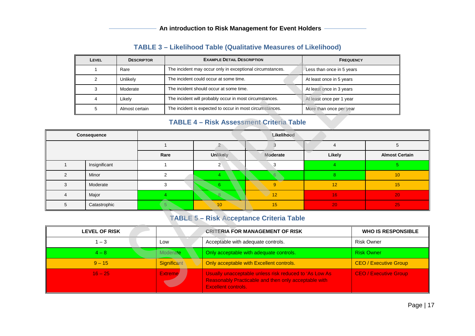# **TABLE 3 – Likelihood Table (Qualitative Measures of Likelihood)**

| LEVEL | <b>DESCRIPTOR</b> | <b>EXAMPLE DETAIL DESCRIPTION</b>                         | <b>FREQUENCY</b>          |
|-------|-------------------|-----------------------------------------------------------|---------------------------|
|       | Rare              | The incident may occur only in exceptional circumstances. | Less than once in 5 years |
|       | Unlikely          | The incident could occur at some time.                    | At least once in 5 years  |
|       | Moderate          | The incident should occur at some time.                   | At least once in 3 years  |
|       | ∟ikelv            | The incident will probably occur in most circumstances.   | At least once per 1 year  |
| 5     | Almost certain    | The incident is expected to occur in most circumstances.  | More than once per year   |

# **TABLE 4 – Risk Assessment Criteria Table**

| Consequence |               | Likelihood |             |          |        |                       |  |  |
|-------------|---------------|------------|-------------|----------|--------|-----------------------|--|--|
|             |               |            |             |          |        |                       |  |  |
|             |               | Rare       | Unlikely    | Moderate | Likely | <b>Almost Certain</b> |  |  |
|             | Insignificant |            |             |          |        |                       |  |  |
|             | Minor         |            |             |          |        | 10                    |  |  |
|             | Moderate      |            |             |          | 12     | 15                    |  |  |
|             | Major         |            |             | 12       | 16     | 20                    |  |  |
|             | Catastrophic  |            | $\sqrt{10}$ | 15       | 20     | 25                    |  |  |

### **TABLE 5 – Risk Acceptance Criteria Table**

| <b>LEVEL OF RISK</b> |                | <b>CRITERIA FOR MANAGEMENT OF RISK</b>                                                                                                | <b>WHO IS RESPONSIBLE</b>    |
|----------------------|----------------|---------------------------------------------------------------------------------------------------------------------------------------|------------------------------|
| $1 - 3$              | Low            | Acceptable with adequate controls.                                                                                                    | <b>Risk Owner</b>            |
| $4 - 8$              | Moderate       | Only acceptable with adequate controls.                                                                                               | <b>Risk Owner</b>            |
| $9 - 15$             | Significant    | Only acceptable with Excellent controls.                                                                                              | <b>CEO / Executive Group</b> |
| $16 - 25$            | <b>Extreme</b> | Usually unacceptable unless risk reduced to 'As Low As<br>Reasonably Practicable and then only acceptable with<br>Excellent controls. | <b>CEO / Executive Group</b> |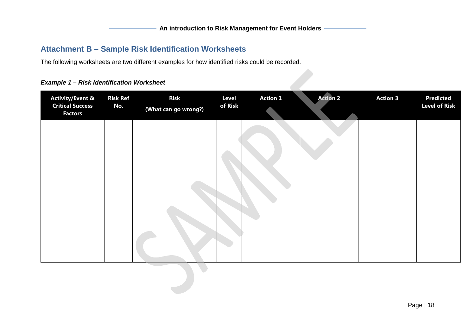# **Attachment B – Sample Risk Identification Worksheets**

The following worksheets are two different examples for how identified risks could be recorded.

### *Example 1 – Risk Identification Worksheet*

<span id="page-17-0"></span>

| <b>Activity/Event &amp;</b><br><b>Critical Success</b><br><b>Factors</b> | <b>Risk Ref</b><br>No. | <b>Risk</b><br>(What can go wrong?) | <b>Level</b><br>of Risk | <b>Action 1</b> | <b>Action 2</b> | <b>Action 3</b> | <b>Predicted</b><br><b>Level of Risk</b> |
|--------------------------------------------------------------------------|------------------------|-------------------------------------|-------------------------|-----------------|-----------------|-----------------|------------------------------------------|
|                                                                          |                        |                                     |                         |                 |                 |                 |                                          |